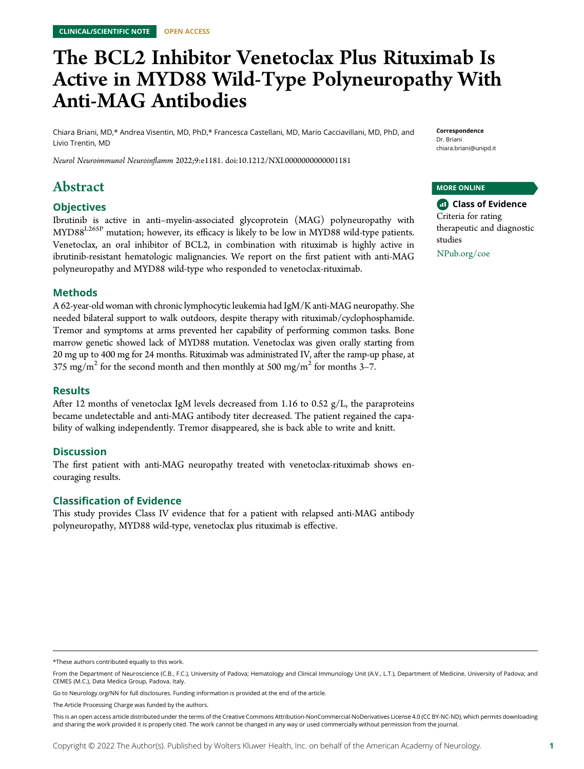# The BCL2 Inhibitor Venetoclax Plus Rituximab Is Active in MYD88 Wild-Type Polyneuropathy With Anti-MAG Antibodies

Chiara Briani, MD,\* Andrea Visentin, MD, PhD,\* Francesca Castellani, MD, Mario Cacciavillani, MD, PhD, and Livio Trentin, MD

Neurol Neuroimmunol Neuroinflamm 2022;9:e1181. doi[:10.1212/NXI.0000000000001181](http://dx.doi.org/10.1212/NXI.0000000000001181)

# Abstract

# **Objectives**

Ibrutinib is active in anti–myelin-associated glycoprotein (MAG) polyneuropathy with MYD88<sup>L265P</sup> mutation; however, its efficacy is likely to be low in MYD88 wild-type patients. Venetoclax, an oral inhibitor of BCL2, in combination with rituximab is highly active in ibrutinib-resistant hematologic malignancies. We report on the first patient with anti-MAG polyneuropathy and MYD88 wild-type who responded to venetoclax-rituximab.

### Methods

A 62-year-old woman with chronic lymphocytic leukemia had IgM/K anti-MAG neuropathy. She needed bilateral support to walk outdoors, despite therapy with rituximab/cyclophosphamide. Tremor and symptoms at arms prevented her capability of performing common tasks. Bone marrow genetic showed lack of MYD88 mutation. Venetoclax was given orally starting from 20 mg up to 400 mg for 24 months. Rituximab was administrated IV, after the ramp-up phase, at 375 mg/m<sup>2</sup> for the second month and then monthly at 500 mg/m<sup>2</sup> for months 3–7.

### Results

After 12 months of venetoclax IgM levels decreased from 1.16 to 0.52 g/L, the paraproteins became undetectable and anti-MAG antibody titer decreased. The patient regained the capability of walking independently. Tremor disappeared, she is back able to write and knitt.

# **Discussion**

The first patient with anti-MAG neuropathy treated with venetoclax-rituximab shows encouraging results.

# Classification of Evidence

This study provides Class IV evidence that for a patient with relapsed anti-MAG antibody polyneuropathy, MYD88 wild-type, venetoclax plus rituximab is effective.

Correspondence Dr. Briani [chiara.briani@unipd.it](mailto:chiara.briani@unipd.it)

### MORE ONLINE

**Class of Evidence** Criteria for rating therapeutic and diagnostic studies

[NPub.org/coe](http://NPub.org/coe)

<sup>\*</sup>These authors contributed equally to this work.

From the Department of Neuroscience (C.B., F.C.), University of Padova; Hematology and Clinical Immunology Unit (A.V., L.T.), Department of Medicine, University of Padova; and CEMES (M.C.), Data Medica Group, Padova, Italy.

Go to [Neurology.org/NN](https://nn.neurology.org/content/9/4/e181/tab-article-info) for full disclosures. Funding information is provided at the end of the article.

The Article Processing Charge was funded by the authors.

This is an open access article distributed under the terms of the [Creative Commons Attribution-NonCommercial-NoDerivatives License 4.0 \(CC BY-NC-ND\),](http://creativecommons.org/licenses/by-nc-nd/4.0/) which permits downloading and sharing the work provided it is properly cited. The work cannot be changed in any way or used commercially without permission from the journal.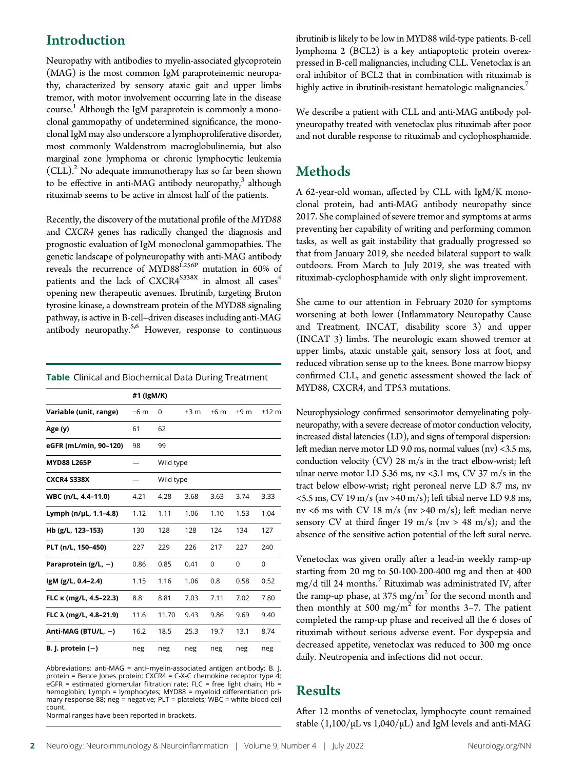# Introduction

Neuropathy with antibodies to myelin-associated glycoprotein (MAG) is the most common IgM paraproteinemic neuropathy, characterized by sensory ataxic gait and upper limbs tremor, with motor involvement occurring late in the disease course.<sup>1</sup> Although the IgM paraprotein is commonly a monoclonal gammopathy of undetermined significance, the monoclonal IgM may also underscore a lymphoproliferative disorder, most commonly Waldenstrom macroglobulinemia, but also marginal zone lymphoma or chronic lymphocytic leukemia  $(CLL).<sup>2</sup>$  No adequate immunotherapy has so far been shown to be effective in anti-MAG antibody neuropathy, $3$  although rituximab seems to be active in almost half of the patients.

Recently, the discovery of the mutational profile of the MYD88 and CXCR4 genes has radically changed the diagnosis and prognostic evaluation of IgM monoclonal gammopathies. The genetic landscape of polyneuropathy with anti-MAG antibody reveals the recurrence of MYD88<sup>L256P</sup> mutation in 60% of patients and the lack of  $\text{CXCR4}^{\text{S338X}}$  in almost all  $\text{cases}^4$ opening new therapeutic avenues. Ibrutinib, targeting Bruton tyrosine kinase, a downstream protein of the MYD88 signaling pathway, is active in B-cell–driven diseases including anti-MAG antibody neuropathy. $5,6$  However, response to continuous

|  |  | Table Clinical and Biochemical Data During Treatment |  |  |  |
|--|--|------------------------------------------------------|--|--|--|
|--|--|------------------------------------------------------|--|--|--|

|                          | #1 (IgM/K) |           |       |          |       |                 |
|--------------------------|------------|-----------|-------|----------|-------|-----------------|
| Variable (unit, range)   | $-6m$      | 0         | $+3m$ | $+6m$    | $+9m$ | $+12 \text{ m}$ |
| Age (y)                  | 61         | 62        |       |          |       |                 |
| eGFR (mL/min, 90-120)    | 98         | 99        |       |          |       |                 |
| <b>MYD88 L265P</b>       |            | Wild type |       |          |       |                 |
| <b>CXCR4 S338X</b>       |            | Wild type |       |          |       |                 |
| WBC (n/L, 4.4-11.0)      | 4.21       | 4.28      | 3.68  | 3.63     | 3.74  | 3.33            |
| Lymph (n/µL, 1.1-4.8)    | 1.12       | 1.11      | 1.06  | 1.10     | 1.53  | 1.04            |
| Hb (g/L, 123-153)        | 130        | 128       | 128   | 124      | 134   | 127             |
| PLT (n/L, 150-450)       | 227        | 229       | 226   | 217      | 227   | 240             |
| Paraprotein ( $g/L$ , -) | 0.86       | 0.85      | 0.41  | $\Omega$ | 0     | 0               |
| IgM (g/L, 0.4-2.4)       | 1.15       | 1.16      | 1.06  | 0.8      | 0.58  | 0.52            |
| FLC K (mg/L, 4.5-22.3)   | 8.8        | 8.81      | 7.03  | 7.11     | 7.02  | 7.80            |
| FLC λ (mg/L, 4.8-21.9)   | 11.6       | 11.70     | 9.43  | 9.86     | 9.69  | 9.40            |
| Anti-MAG (BTU/L, $-$ )   | 16.2       | 18.5      | 25.3  | 19.7     | 13.1  | 8.74            |
| B. J. protein $(-)$      | neg        | neg       | neg   | neg      | neg   | neg             |

Abbreviations: anti-MAG = anti–myelin-associated antigen antibody; B. J. protein = Bence Jones protein; CXCR4 = C-X-C chemokine receptor type 4; eGFR = estimated glomerular filtration rate; FLC = free light chain; Hb = hemoglobin; Lymph = lymphocytes; MYD88 = myeloid differentiation pri-mary response 88; neg = negative; PLT = platelets; WBC = white blood cell count.

Normal ranges have been reported in brackets.

ibrutinib is likely to be low in MYD88 wild-type patients. B-cell lymphoma 2 (BCL2) is a key antiapoptotic protein overexpressed in B-cell malignancies, including CLL. Venetoclax is an oral inhibitor of BCL2 that in combination with rituximab is highly active in ibrutinib-resistant hematologic malignancies.<sup>7</sup>

We describe a patient with CLL and anti-MAG antibody polyneuropathy treated with venetoclax plus rituximab after poor and not durable response to rituximab and cyclophosphamide.

# Methods

A 62-year-old woman, affected by CLL with IgM/K monoclonal protein, had anti-MAG antibody neuropathy since 2017. She complained of severe tremor and symptoms at arms preventing her capability of writing and performing common tasks, as well as gait instability that gradually progressed so that from January 2019, she needed bilateral support to walk outdoors. From March to July 2019, she was treated with rituximab-cyclophosphamide with only slight improvement.

She came to our attention in February 2020 for symptoms worsening at both lower (Inflammatory Neuropathy Cause and Treatment, INCAT, disability score 3) and upper (INCAT 3) limbs. The neurologic exam showed tremor at upper limbs, ataxic unstable gait, sensory loss at foot, and reduced vibration sense up to the knees. Bone marrow biopsy confirmed CLL, and genetic assessment showed the lack of MYD88, CXCR4, and TP53 mutations.

Neurophysiology confirmed sensorimotor demyelinating polyneuropathy, with a severe decrease of motor conduction velocity, increased distal latencies (LD), and signs of temporal dispersion: left median nerve motor LD 9.0 ms, normal values (nv) <3.5 ms, conduction velocity  $(CV)$  28 m/s in the tract elbow-wrist; left ulnar nerve motor LD 5.36 ms, nv <3.1 ms, CV 37 m/s in the tract below elbow-wrist; right peroneal nerve LD 8.7 ms, nv  $<$  5.5 ms, CV 19 m/s (nv > 40 m/s); left tibial nerve LD 9.8 ms, nv <6 ms with CV 18 m/s (nv >40 m/s); left median nerve sensory CV at third finger 19 m/s ( $nv > 48$  m/s); and the absence of the sensitive action potential of the left sural nerve.

Venetoclax was given orally after a lead-in weekly ramp-up starting from 20 mg to 50-100-200-400 mg and then at 400  $mg/d$  till 24 months.<sup>7</sup> Rituximab was administrated IV, after the ramp-up phase, at  $375 \text{ mg/m}^2$  for the second month and then monthly at 500 mg/m<sup>2</sup> for months 3–7. The patient completed the ramp-up phase and received all the 6 doses of rituximab without serious adverse event. For dyspepsia and decreased appetite, venetoclax was reduced to 300 mg once daily. Neutropenia and infections did not occur.

# Results

After 12 months of venetoclax, lymphocyte count remained stable  $(1,100/\mu L \text{ vs } 1,040/\mu L)$  and IgM levels and anti-MAG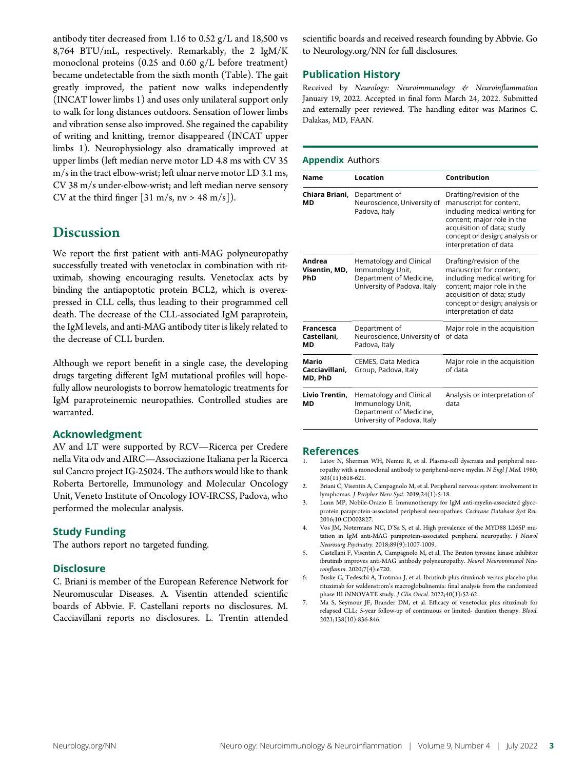antibody titer decreased from 1.16 to 0.52 g/L and 18,500 vs 8,764 BTU/mL, respectively. Remarkably, the 2 IgM/K monoclonal proteins (0.25 and 0.60 g/L before treatment) became undetectable from the sixth month (Table). The gait greatly improved, the patient now walks independently (INCAT lower limbs 1) and uses only unilateral support only to walk for long distances outdoors. Sensation of lower limbs and vibration sense also improved. She regained the capability of writing and knitting, tremor disappeared (INCAT upper limbs 1). Neurophysiology also dramatically improved at upper limbs (left median nerve motor LD 4.8 ms with CV 35 m/s in the tract elbow-wrist; left ulnar nerve motor LD 3.1 ms, CV 38 m/s under-elbow-wrist; and left median nerve sensory CV at the third finger [31 m/s, nv > 48 m/s]).

# **Discussion**

We report the first patient with anti-MAG polyneuropathy successfully treated with venetoclax in combination with rituximab, showing encouraging results. Venetoclax acts by binding the antiapoptotic protein BCL2, which is overexpressed in CLL cells, thus leading to their programmed cell death. The decrease of the CLL-associated IgM paraprotein, the IgM levels, and anti-MAG antibody titer is likely related to the decrease of CLL burden.

Although we report benefit in a single case, the developing drugs targeting different IgM mutational profiles will hopefully allow neurologists to borrow hematologic treatments for IgM paraproteinemic neuropathies. Controlled studies are warranted.

# Acknowledgment

AV and LT were supported by RCV—Ricerca per Credere nella Vita odv and AIRC—Associazione Italiana per la Ricerca sul Cancro project IG-25024. The authors would like to thank Roberta Bertorelle, Immunology and Molecular Oncology Unit, Veneto Institute of Oncology IOV-IRCSS, Padova, who performed the molecular analysis.

# Study Funding

The authors report no targeted funding.

# **Disclosure**

C. Briani is member of the European Reference Network for Neuromuscular Diseases. A. Visentin attended scientific boards of Abbvie. F. Castellani reports no disclosures. M. Cacciavillani reports no disclosures. L. Trentin attended scientific boards and received research founding by Abbvie. Go to [Neurology.org/NN](https://nn.neurology.org/content/9/4/e181/tab-article-info) for full disclosures.

# Publication History

Received by Neurology: Neuroimmunology & Neuroinflammation January 19, 2022. Accepted in final form March 24, 2022. Submitted and externally peer reviewed. The handling editor was Marinos C. Dalakas, MD, FAAN.

### Appendix Authors

| Name                                  | Location                                                                                              | <b>Contribution</b>                                                                                                                                                                                          |
|---------------------------------------|-------------------------------------------------------------------------------------------------------|--------------------------------------------------------------------------------------------------------------------------------------------------------------------------------------------------------------|
| Chiara Briani,<br>МD                  | Department of<br>Neuroscience, University of<br>Padova, Italy                                         | Drafting/revision of the<br>manuscript for content,<br>including medical writing for<br>content; major role in the<br>acquisition of data; study<br>concept or design; analysis or<br>interpretation of data |
| Andrea<br>Visentin, MD,<br>PhD        | Hematology and Clinical<br>Immunology Unit,<br>Department of Medicine,<br>University of Padova, Italy | Drafting/revision of the<br>manuscript for content,<br>including medical writing for<br>content; major role in the<br>acquisition of data; study<br>concept or design; analysis or<br>interpretation of data |
| <b>Francesca</b><br>Castellani,<br>ΜD | Department of<br>Neuroscience, University of<br>Padova, Italy                                         | Major role in the acquisition<br>of data                                                                                                                                                                     |
| Mario<br>Cacciavillani,<br>MD, PhD    | CEMES, Data Medica<br>Group, Padova, Italy                                                            | Major role in the acquisition<br>of data                                                                                                                                                                     |
| Livio Trentin,<br>MD                  | Hematology and Clinical<br>Immunology Unit,<br>Department of Medicine,<br>University of Padova, Italy | Analysis or interpretation of<br>data                                                                                                                                                                        |

### References

- Latov N, Sherman WH, Nemni R, et al. Plasma-cell dyscrasia and peripheral neuropathy with a monoclonal antibody to peripheral-nerve myelin. N Engl J Med. 1980; 303(11):618-621.
- 2. Briani C, Visentin A, Campagnolo M, et al. Peripheral nervous system involvement in lymphomas. J Peripher Nerv Syst. 2019;24(1):5-18.
- 3. Lunn MP, Nobile-Orazio E. Immunotherapy for IgM anti-myelin-associated glycoprotein paraprotein-associated peripheral neuropathies. Cochrane Database Syst Rev. 2016;10:CD002827.
- 4. Vos JM, Notermans NC, D'Sa S, et al. High prevalence of the MYD88 L265P mutation in IgM anti-MAG paraprotein-associated peripheral neuropathy. J Neurol Neurosurg Psychiatry. 2018;89(9):1007-1009.
- 5. Castellani F, Visentin A, Campagnolo M, et al. The Bruton tyrosine kinase inhibitor ibrutinib improves anti-MAG antibody polyneuropathy. Neurol Neuroimmunol Neuroinflamm. 2020;7(4):e720.
- 6. Buske C, Tedeschi A, Trotman J, et al. Ibrutinib plus rituximab versus placebo plus rituximab for waldenstrom's macroglobulinemia: final analysis from the randomized phase III iNNOVATE study. J Clin Oncol. 2022;40(1):52-62.
- 7. Ma S, Seymour JF, Brander DM, et al. Efficacy of venetoclax plus rituximab for relapsed CLL: 5-year follow-up of continuous or limited- duration therapy. Blood. 2021;138(10):836-846.